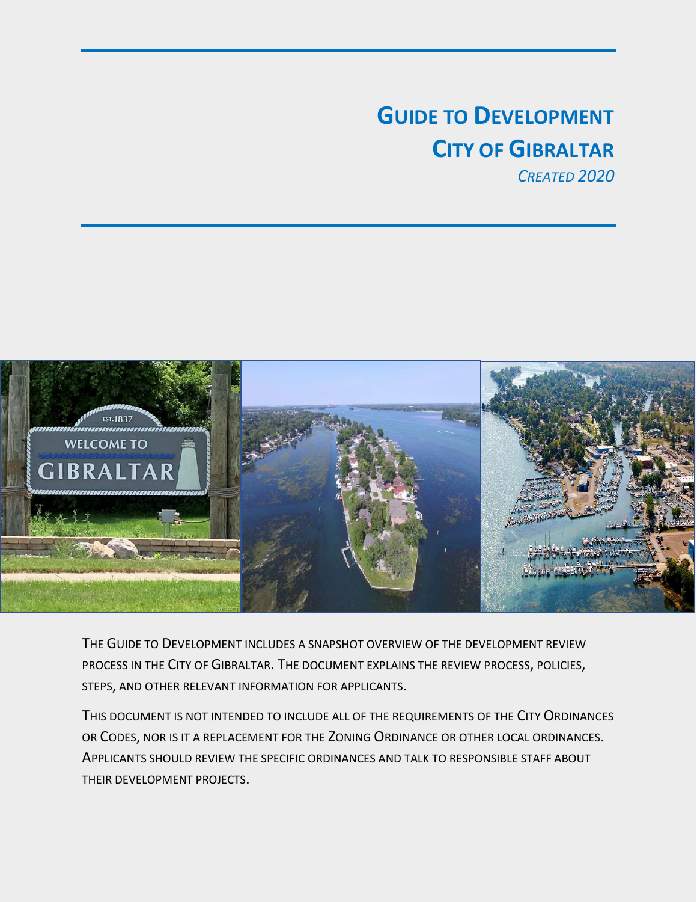# **GUIDE TO DEVELOPMENT CITY OF GIBRALTAR**

*CREATED 2020*



THE GUIDE TO DEVELOPMENT INCLUDES A SNAPSHOT OVERVIEW OF THE DEVELOPMENT REVIEW PROCESS IN THE CITY OF GIBRALTAR. THE DOCUMENT EXPLAINS THE REVIEW PROCESS, POLICIES, STEPS, AND OTHER RELEVANT INFORMATION FOR APPLICANTS.

THIS DOCUMENT IS NOT INTENDED TO INCLUDE ALL OF THE REQUIREMENTS OF THE CITY ORDINANCES OR CODES, NOR IS IT A REPLACEMENT FOR THE ZONING ORDINANCE OR OTHER LOCAL ORDINANCES. APPLICANTS SHOULD REVIEW THE SPECIFIC ORDINANCES AND TALK TO RESPONSIBLE STAFF ABOUT THEIR DEVELOPMENT PROJECTS.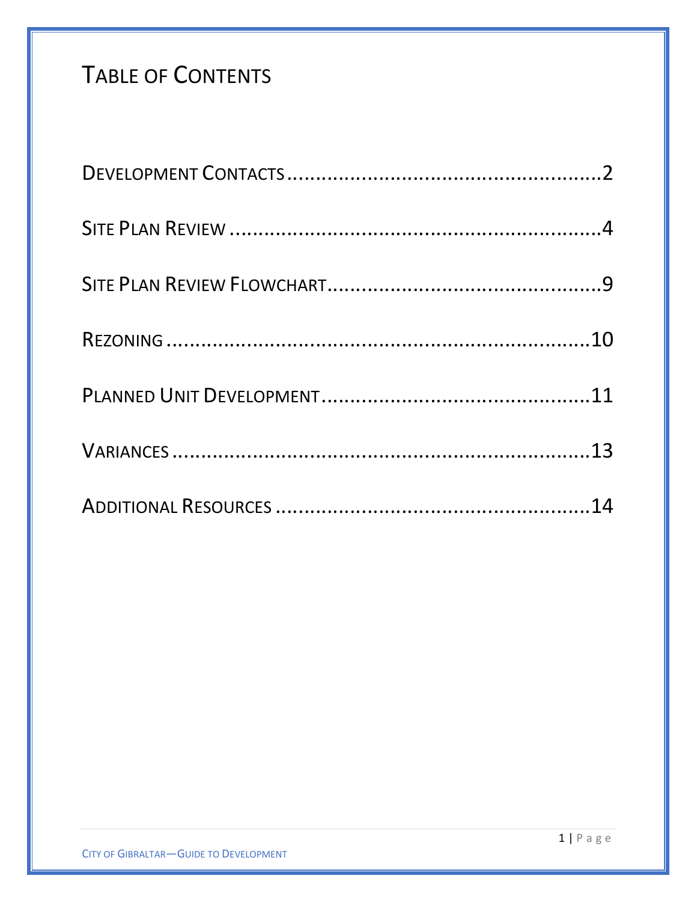# TABLE OF CONTENTS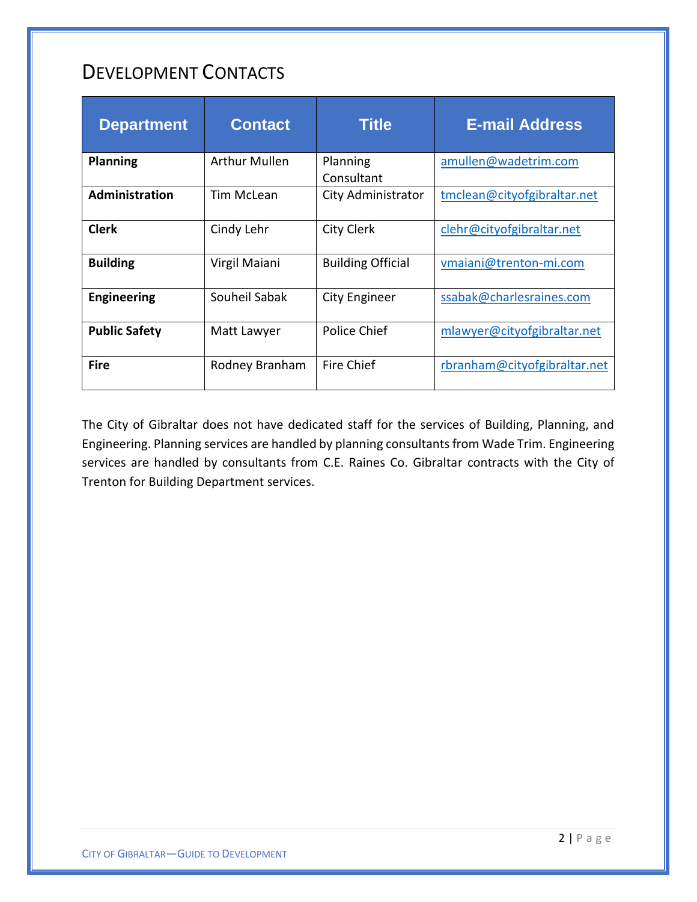## <span id="page-2-0"></span>DEVELOPMENT CONTACTS

| <b>Department</b>     | <b>Contact</b>       | <b>Title</b>             | <b>E-mail Address</b>        |
|-----------------------|----------------------|--------------------------|------------------------------|
| <b>Planning</b>       | <b>Arthur Mullen</b> | Planning<br>Consultant   | amullen@wadetrim.com         |
| <b>Administration</b> | Tim McLean           | City Administrator       | tmclean@cityofgibraltar.net  |
| <b>Clerk</b>          | Cindy Lehr           | <b>City Clerk</b>        | clehr@cityofgibraltar.net    |
| <b>Building</b>       | Virgil Maiani        | <b>Building Official</b> | vmaiani@trenton-mi.com       |
| <b>Engineering</b>    | Souheil Sabak        | City Engineer            | ssabak@charlesraines.com     |
| <b>Public Safety</b>  | Matt Lawyer          | Police Chief             | mlawyer@cityofgibraltar.net  |
| <b>Fire</b>           | Rodney Branham       | Fire Chief               | rbranham@cityofgibraltar.net |

The City of Gibraltar does not have dedicated staff for the services of Building, Planning, and Engineering. Planning services are handled by planning consultants from Wade Trim. Engineering services are handled by consultants from C.E. Raines Co. Gibraltar contracts with the City of Trenton for Building Department services.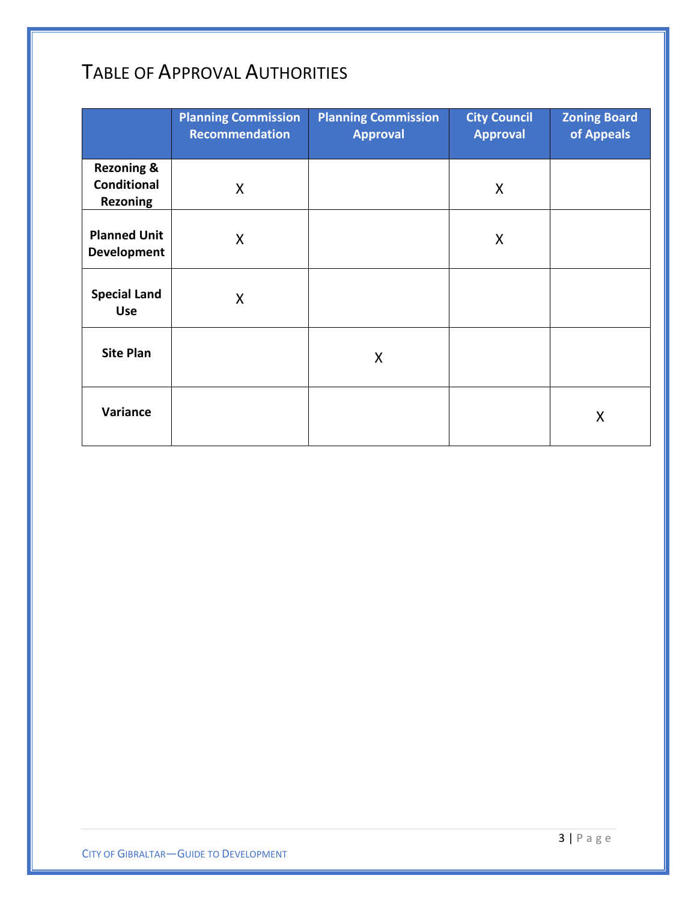# TABLE OF APPROVAL AUTHORITIES

|                                                                | <b>Planning Commission</b><br><b>Recommendation</b> | <b>Planning Commission</b><br><b>Approval</b> | <b>City Council</b><br><b>Approval</b> | <b>Zoning Board</b><br>of Appeals |
|----------------------------------------------------------------|-----------------------------------------------------|-----------------------------------------------|----------------------------------------|-----------------------------------|
| <b>Rezoning &amp;</b><br><b>Conditional</b><br><b>Rezoning</b> | X                                                   |                                               | X                                      |                                   |
| <b>Planned Unit</b><br><b>Development</b>                      | X                                                   |                                               | X                                      |                                   |
| <b>Special Land</b><br><b>Use</b>                              | X                                                   |                                               |                                        |                                   |
| <b>Site Plan</b>                                               |                                                     | X                                             |                                        |                                   |
| Variance                                                       |                                                     |                                               |                                        | Χ                                 |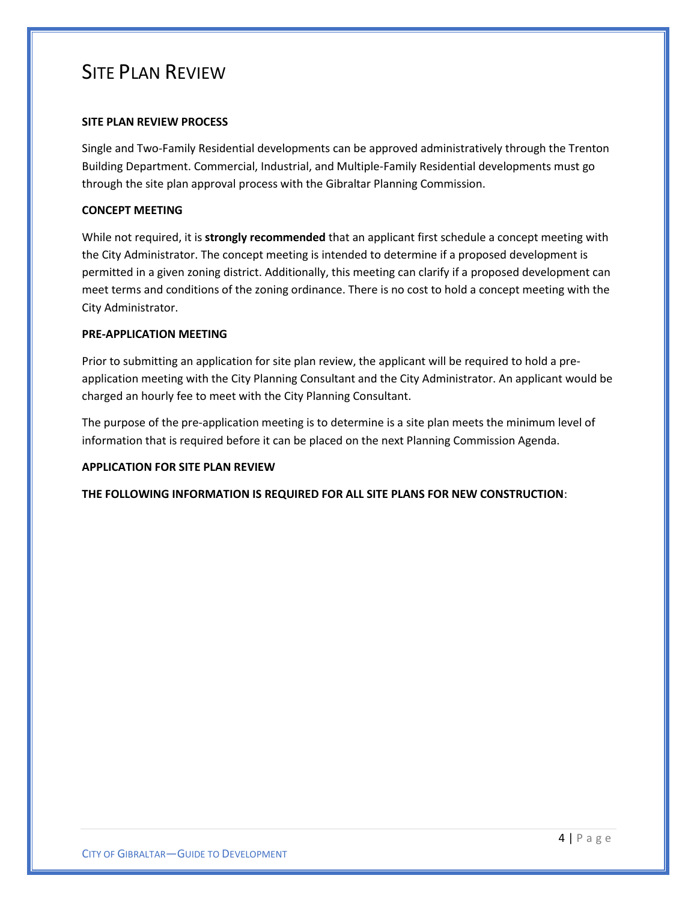### <span id="page-4-0"></span>SITE PLAN REVIEW

#### **SITE PLAN REVIEW PROCESS**

Single and Two-Family Residential developments can be approved administratively through the Trenton Building Department. Commercial, Industrial, and Multiple-Family Residential developments must go through the site plan approval process with the Gibraltar Planning Commission.

#### **CONCEPT MEETING**

While not required, it is **strongly recommended** that an applicant first schedule a concept meeting with the City Administrator. The concept meeting is intended to determine if a proposed development is permitted in a given zoning district. Additionally, this meeting can clarify if a proposed development can meet terms and conditions of the zoning ordinance. There is no cost to hold a concept meeting with the City Administrator.

#### **PRE-APPLICATION MEETING**

Prior to submitting an application for site plan review, the applicant will be required to hold a preapplication meeting with the City Planning Consultant and the City Administrator. An applicant would be charged an hourly fee to meet with the City Planning Consultant.

The purpose of the pre-application meeting is to determine is a site plan meets the minimum level of information that is required before it can be placed on the next Planning Commission Agenda.

#### **APPLICATION FOR SITE PLAN REVIEW**

**THE FOLLOWING INFORMATION IS REQUIRED FOR ALL SITE PLANS FOR NEW CONSTRUCTION**: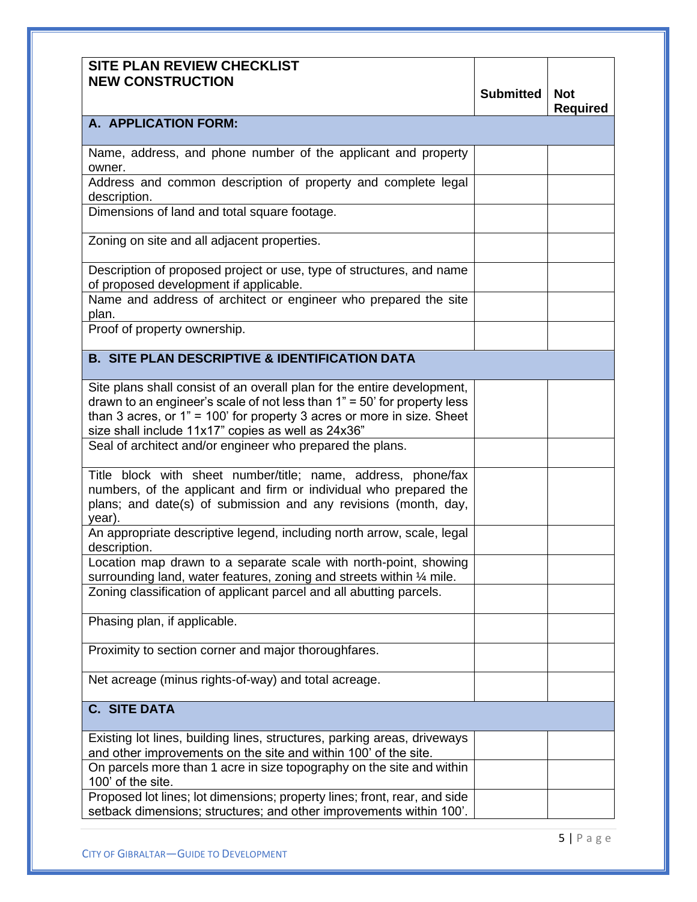| <b>SITE PLAN REVIEW CHECKLIST</b><br><b>NEW CONSTRUCTION</b>                                                                                                                                                                                                                            | <b>Submitted</b> | <b>Not</b><br><b>Required</b> |
|-----------------------------------------------------------------------------------------------------------------------------------------------------------------------------------------------------------------------------------------------------------------------------------------|------------------|-------------------------------|
| A. APPLICATION FORM:                                                                                                                                                                                                                                                                    |                  |                               |
| Name, address, and phone number of the applicant and property<br>owner.                                                                                                                                                                                                                 |                  |                               |
| Address and common description of property and complete legal<br>description.                                                                                                                                                                                                           |                  |                               |
| Dimensions of land and total square footage.                                                                                                                                                                                                                                            |                  |                               |
| Zoning on site and all adjacent properties.                                                                                                                                                                                                                                             |                  |                               |
| Description of proposed project or use, type of structures, and name<br>of proposed development if applicable.                                                                                                                                                                          |                  |                               |
| Name and address of architect or engineer who prepared the site<br>plan.                                                                                                                                                                                                                |                  |                               |
| Proof of property ownership.                                                                                                                                                                                                                                                            |                  |                               |
| <b>B. SITE PLAN DESCRIPTIVE &amp; IDENTIFICATION DATA</b>                                                                                                                                                                                                                               |                  |                               |
| Site plans shall consist of an overall plan for the entire development,<br>drawn to an engineer's scale of not less than $1" = 50'$ for property less<br>than 3 acres, or $1" = 100'$ for property 3 acres or more in size. Sheet<br>size shall include 11x17" copies as well as 24x36" |                  |                               |
| Seal of architect and/or engineer who prepared the plans.                                                                                                                                                                                                                               |                  |                               |
| Title block with sheet number/title; name, address, phone/fax<br>numbers, of the applicant and firm or individual who prepared the<br>plans; and date(s) of submission and any revisions (month, day,<br>year).                                                                         |                  |                               |
| An appropriate descriptive legend, including north arrow, scale, legal<br>description.                                                                                                                                                                                                  |                  |                               |
| Location map drawn to a separate scale with north-point, showing<br>surrounding land, water features, zoning and streets within 1/4 mile.                                                                                                                                               |                  |                               |
| Zoning classification of applicant parcel and all abutting parcels.                                                                                                                                                                                                                     |                  |                               |
| Phasing plan, if applicable.                                                                                                                                                                                                                                                            |                  |                               |
| Proximity to section corner and major thoroughfares.                                                                                                                                                                                                                                    |                  |                               |
| Net acreage (minus rights-of-way) and total acreage.                                                                                                                                                                                                                                    |                  |                               |
| <b>C. SITE DATA</b>                                                                                                                                                                                                                                                                     |                  |                               |
| Existing lot lines, building lines, structures, parking areas, driveways<br>and other improvements on the site and within 100' of the site.                                                                                                                                             |                  |                               |
| On parcels more than 1 acre in size topography on the site and within<br>100' of the site.                                                                                                                                                                                              |                  |                               |
| Proposed lot lines; lot dimensions; property lines; front, rear, and side<br>setback dimensions; structures; and other improvements within 100'.                                                                                                                                        |                  |                               |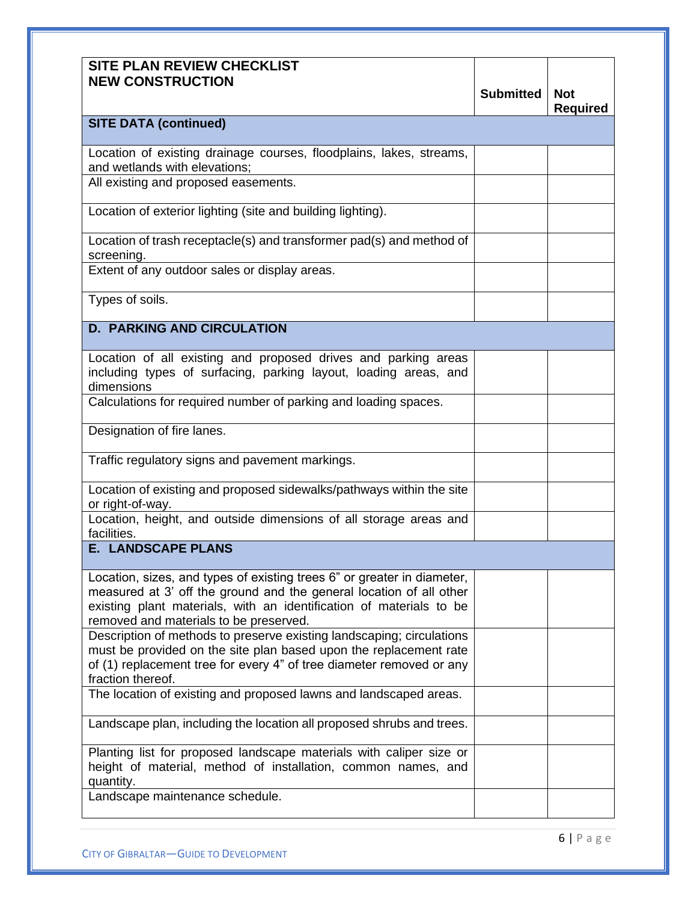| <b>SITE PLAN REVIEW CHECKLIST</b><br><b>NEW CONSTRUCTION</b>                                                                                                                                                                                                    | <b>Submitted</b> | <b>Not</b><br><b>Required</b> |
|-----------------------------------------------------------------------------------------------------------------------------------------------------------------------------------------------------------------------------------------------------------------|------------------|-------------------------------|
| <b>SITE DATA (continued)</b>                                                                                                                                                                                                                                    |                  |                               |
| Location of existing drainage courses, floodplains, lakes, streams,<br>and wetlands with elevations;                                                                                                                                                            |                  |                               |
| All existing and proposed easements.                                                                                                                                                                                                                            |                  |                               |
| Location of exterior lighting (site and building lighting).                                                                                                                                                                                                     |                  |                               |
| Location of trash receptacle(s) and transformer pad(s) and method of<br>screening.                                                                                                                                                                              |                  |                               |
| Extent of any outdoor sales or display areas.                                                                                                                                                                                                                   |                  |                               |
| Types of soils.                                                                                                                                                                                                                                                 |                  |                               |
| <b>D. PARKING AND CIRCULATION</b>                                                                                                                                                                                                                               |                  |                               |
| Location of all existing and proposed drives and parking areas<br>including types of surfacing, parking layout, loading areas, and<br>dimensions                                                                                                                |                  |                               |
| Calculations for required number of parking and loading spaces.                                                                                                                                                                                                 |                  |                               |
| Designation of fire lanes.                                                                                                                                                                                                                                      |                  |                               |
| Traffic regulatory signs and pavement markings.                                                                                                                                                                                                                 |                  |                               |
| Location of existing and proposed sidewalks/pathways within the site<br>or right-of-way.                                                                                                                                                                        |                  |                               |
| Location, height, and outside dimensions of all storage areas and<br>facilities.                                                                                                                                                                                |                  |                               |
| <b>E. LANDSCAPE PLANS</b>                                                                                                                                                                                                                                       |                  |                               |
| Location, sizes, and types of existing trees 6" or greater in diameter,<br>measured at 3' off the ground and the general location of all other<br>existing plant materials, with an identification of materials to be<br>removed and materials to be preserved. |                  |                               |
| Description of methods to preserve existing landscaping; circulations<br>must be provided on the site plan based upon the replacement rate<br>of (1) replacement tree for every 4" of tree diameter removed or any<br>fraction thereof.                         |                  |                               |
| The location of existing and proposed lawns and landscaped areas.                                                                                                                                                                                               |                  |                               |
| Landscape plan, including the location all proposed shrubs and trees.                                                                                                                                                                                           |                  |                               |
| Planting list for proposed landscape materials with caliper size or<br>height of material, method of installation, common names, and<br>quantity.                                                                                                               |                  |                               |
| Landscape maintenance schedule.                                                                                                                                                                                                                                 |                  |                               |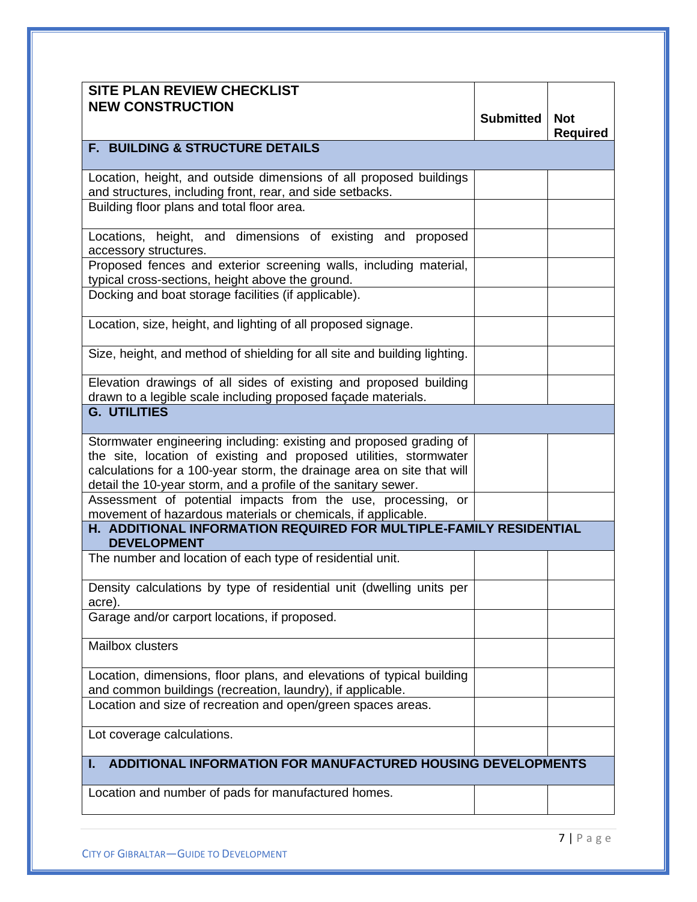| <b>SITE PLAN REVIEW CHECKLIST</b><br><b>NEW CONSTRUCTION</b>                                                                                                                                                                                                                        |           |                               |
|-------------------------------------------------------------------------------------------------------------------------------------------------------------------------------------------------------------------------------------------------------------------------------------|-----------|-------------------------------|
|                                                                                                                                                                                                                                                                                     | Submitted | <b>Not</b><br><b>Required</b> |
| <b>F. BUILDING &amp; STRUCTURE DETAILS</b>                                                                                                                                                                                                                                          |           |                               |
| Location, height, and outside dimensions of all proposed buildings<br>and structures, including front, rear, and side setbacks.                                                                                                                                                     |           |                               |
| Building floor plans and total floor area.                                                                                                                                                                                                                                          |           |                               |
| Locations, height, and dimensions of existing and proposed<br>accessory structures.                                                                                                                                                                                                 |           |                               |
| Proposed fences and exterior screening walls, including material,<br>typical cross-sections, height above the ground.                                                                                                                                                               |           |                               |
| Docking and boat storage facilities (if applicable).                                                                                                                                                                                                                                |           |                               |
| Location, size, height, and lighting of all proposed signage.                                                                                                                                                                                                                       |           |                               |
| Size, height, and method of shielding for all site and building lighting.                                                                                                                                                                                                           |           |                               |
| Elevation drawings of all sides of existing and proposed building<br>drawn to a legible scale including proposed façade materials.<br><b>G. UTILITIES</b>                                                                                                                           |           |                               |
|                                                                                                                                                                                                                                                                                     |           |                               |
| Stormwater engineering including: existing and proposed grading of<br>the site, location of existing and proposed utilities, stormwater<br>calculations for a 100-year storm, the drainage area on site that will<br>detail the 10-year storm, and a profile of the sanitary sewer. |           |                               |
| Assessment of potential impacts from the use, processing, or<br>movement of hazardous materials or chemicals, if applicable.                                                                                                                                                        |           |                               |
| H. ADDITIONAL INFORMATION REQUIRED FOR MULTIPLE-FAMILY RESIDENTIAL<br><b>DEVELOPMENT</b>                                                                                                                                                                                            |           |                               |
| The number and location of each type of residential unit.                                                                                                                                                                                                                           |           |                               |
| Density calculations by type of residential unit (dwelling units per<br>acre).                                                                                                                                                                                                      |           |                               |
| Garage and/or carport locations, if proposed.                                                                                                                                                                                                                                       |           |                               |
| Mailbox clusters                                                                                                                                                                                                                                                                    |           |                               |
| Location, dimensions, floor plans, and elevations of typical building<br>and common buildings (recreation, laundry), if applicable.                                                                                                                                                 |           |                               |
| Location and size of recreation and open/green spaces areas.                                                                                                                                                                                                                        |           |                               |
| Lot coverage calculations.                                                                                                                                                                                                                                                          |           |                               |
| <b>ADDITIONAL INFORMATION FOR MANUFACTURED HOUSING DEVELOPMENTS</b><br>ı.                                                                                                                                                                                                           |           |                               |
| Location and number of pads for manufactured homes.                                                                                                                                                                                                                                 |           |                               |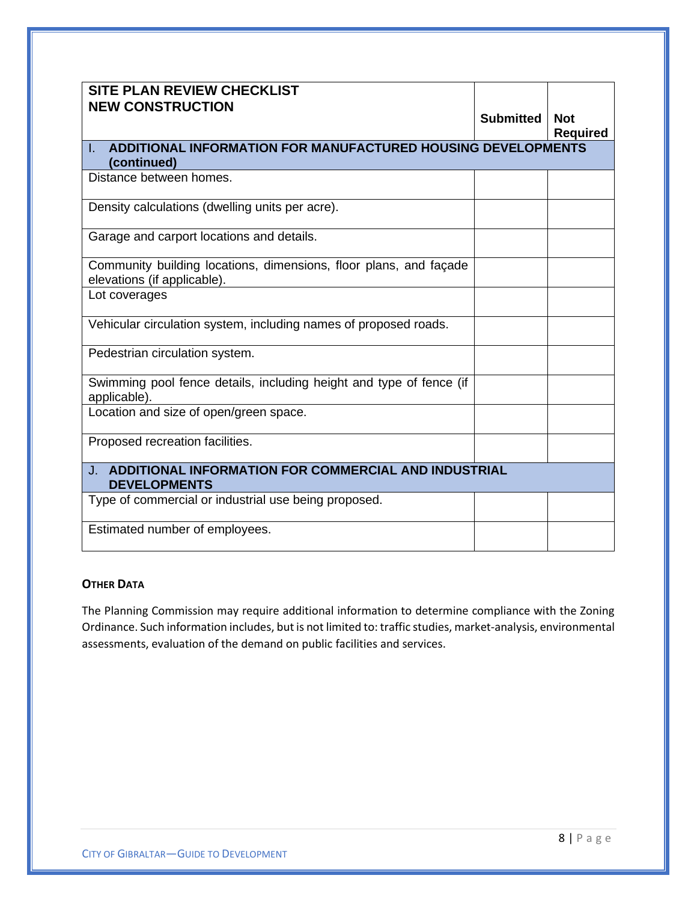| <b>SITE PLAN REVIEW CHECKLIST</b><br><b>NEW CONSTRUCTION</b>                                     | <b>Submitted</b> | <b>Not</b>      |
|--------------------------------------------------------------------------------------------------|------------------|-----------------|
|                                                                                                  |                  | <b>Required</b> |
| ADDITIONAL INFORMATION FOR MANUFACTURED HOUSING DEVELOPMENTS<br>L.                               |                  |                 |
| (continued)                                                                                      |                  |                 |
| Distance between homes.                                                                          |                  |                 |
| Density calculations (dwelling units per acre).                                                  |                  |                 |
| Garage and carport locations and details.                                                        |                  |                 |
| Community building locations, dimensions, floor plans, and façade<br>elevations (if applicable). |                  |                 |
| Lot coverages                                                                                    |                  |                 |
| Vehicular circulation system, including names of proposed roads.                                 |                  |                 |
| Pedestrian circulation system.                                                                   |                  |                 |
| Swimming pool fence details, including height and type of fence (if<br>applicable).              |                  |                 |
| Location and size of open/green space.                                                           |                  |                 |
| Proposed recreation facilities.                                                                  |                  |                 |
| <b>J. ADDITIONAL INFORMATION FOR COMMERCIAL AND INDUSTRIAL</b><br><b>DEVELOPMENTS</b>            |                  |                 |
| Type of commercial or industrial use being proposed.                                             |                  |                 |
| Estimated number of employees.                                                                   |                  |                 |

#### **OTHER DATA**

<span id="page-8-0"></span>The Planning Commission may require additional information to determine compliance with the Zoning Ordinance. Such information includes, but is not limited to: traffic studies, market-analysis, environmental assessments, evaluation of the demand on public facilities and services.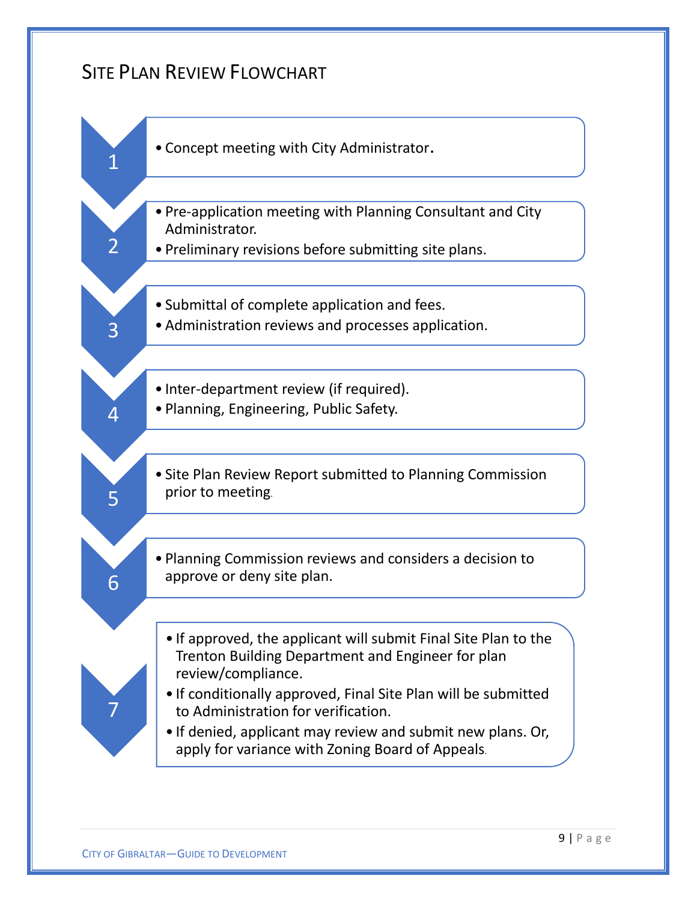### SITE PLAN REVIEW FLOWCHART

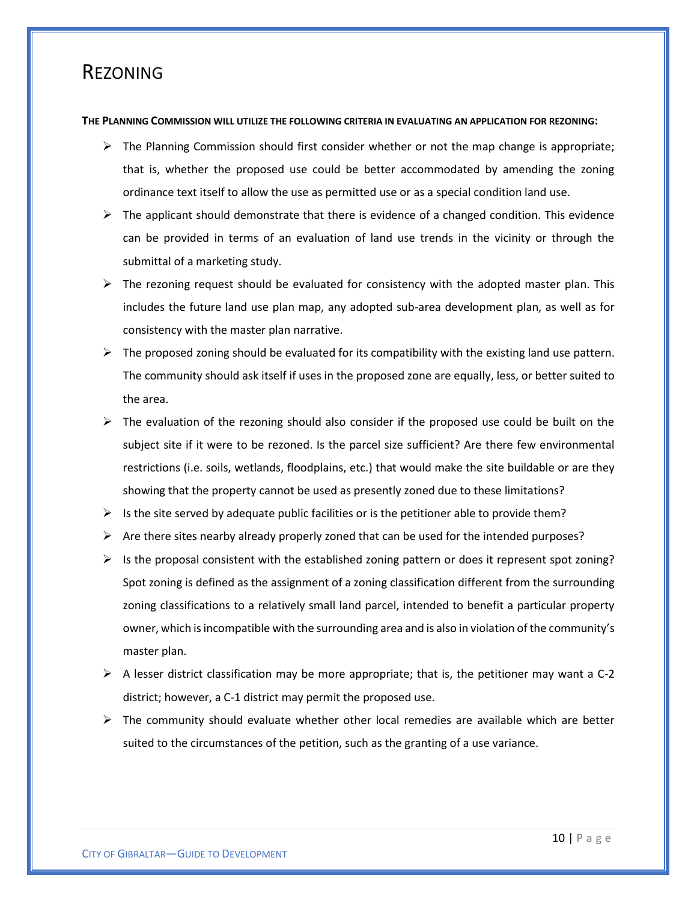### <span id="page-10-0"></span>REZONING

#### **THE PLANNING COMMISSION WILL UTILIZE THE FOLLOWING CRITERIA IN EVALUATING AN APPLICATION FOR REZONING:**

- $\triangleright$  The Planning Commission should first consider whether or not the map change is appropriate; that is, whether the proposed use could be better accommodated by amending the zoning ordinance text itself to allow the use as permitted use or as a special condition land use.
- $\triangleright$  The applicant should demonstrate that there is evidence of a changed condition. This evidence can be provided in terms of an evaluation of land use trends in the vicinity or through the submittal of a marketing study.
- $\triangleright$  The rezoning request should be evaluated for consistency with the adopted master plan. This includes the future land use plan map, any adopted sub-area development plan, as well as for consistency with the master plan narrative.
- $\triangleright$  The proposed zoning should be evaluated for its compatibility with the existing land use pattern. The community should ask itself if uses in the proposed zone are equally, less, or better suited to the area.
- $\triangleright$  The evaluation of the rezoning should also consider if the proposed use could be built on the subject site if it were to be rezoned. Is the parcel size sufficient? Are there few environmental restrictions (i.e. soils, wetlands, floodplains, etc.) that would make the site buildable or are they showing that the property cannot be used as presently zoned due to these limitations?
- $\triangleright$  Is the site served by adequate public facilities or is the petitioner able to provide them?
- $\triangleright$  Are there sites nearby already properly zoned that can be used for the intended purposes?
- $\triangleright$  Is the proposal consistent with the established zoning pattern or does it represent spot zoning? Spot zoning is defined as the assignment of a zoning classification different from the surrounding zoning classifications to a relatively small land parcel, intended to benefit a particular property owner, which is incompatible with the surrounding area and is also in violation of the community's master plan.
- $\triangleright$  A lesser district classification may be more appropriate; that is, the petitioner may want a C-2 district; however, a C-1 district may permit the proposed use.
- $\triangleright$  The community should evaluate whether other local remedies are available which are better suited to the circumstances of the petition, such as the granting of a use variance.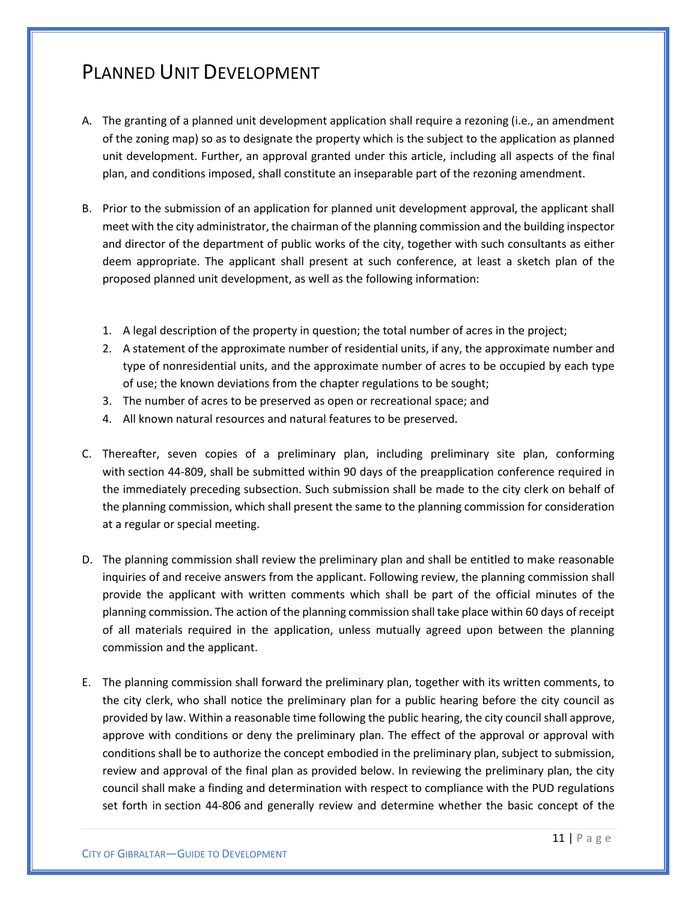## <span id="page-11-0"></span>PLANNED UNIT DEVELOPMENT

- A. The granting of a planned unit development application shall require a rezoning (i.e., an amendment of the zoning map) so as to designate the property which is the subject to the application as planned unit development. Further, an approval granted under this article, including all aspects of the final plan, and conditions imposed, shall constitute an inseparable part of the rezoning amendment.
- B. Prior to the submission of an application for planned unit development approval, the applicant shall meet with the city administrator, the chairman of the planning commission and the building inspector and director of the department of public works of the city, together with such consultants as either deem appropriate. The applicant shall present at such conference, at least a sketch plan of the proposed planned unit development, as well as the following information:
	- 1. A legal description of the property in question; the total number of acres in the project;
	- 2. A statement of the approximate number of residential units, if any, the approximate number and type of nonresidential units, and the approximate number of acres to be occupied by each type of use; the known deviations from the chapter regulations to be sought;
	- 3. The number of acres to be preserved as open or recreational space; and
	- 4. All known natural resources and natural features to be preserved.
- C. Thereafter, seven copies of a preliminary plan, including preliminary site plan, conforming with section 44-809, shall be submitted within 90 days of the preapplication conference required in the immediately preceding subsection. Such submission shall be made to the city clerk on behalf of the planning commission, which shall present the same to the planning commission for consideration at a regular or special meeting.
- D. The planning commission shall review the preliminary plan and shall be entitled to make reasonable inquiries of and receive answers from the applicant. Following review, the planning commission shall provide the applicant with written comments which shall be part of the official minutes of the planning commission. The action of the planning commission shall take place within 60 days of receipt of all materials required in the application, unless mutually agreed upon between the planning commission and the applicant.
- E. The planning commission shall forward the preliminary plan, together with its written comments, to the city clerk, who shall notice the preliminary plan for a public hearing before the city council as provided by law. Within a reasonable time following the public hearing, the city council shall approve, approve with conditions or deny the preliminary plan. The effect of the approval or approval with conditions shall be to authorize the concept embodied in the preliminary plan, subject to submission, review and approval of the final plan as provided below. In reviewing the preliminary plan, the city council shall make a finding and determination with respect to compliance with the PUD regulations set forth in section 44-806 and generally review and determine whether the basic concept of the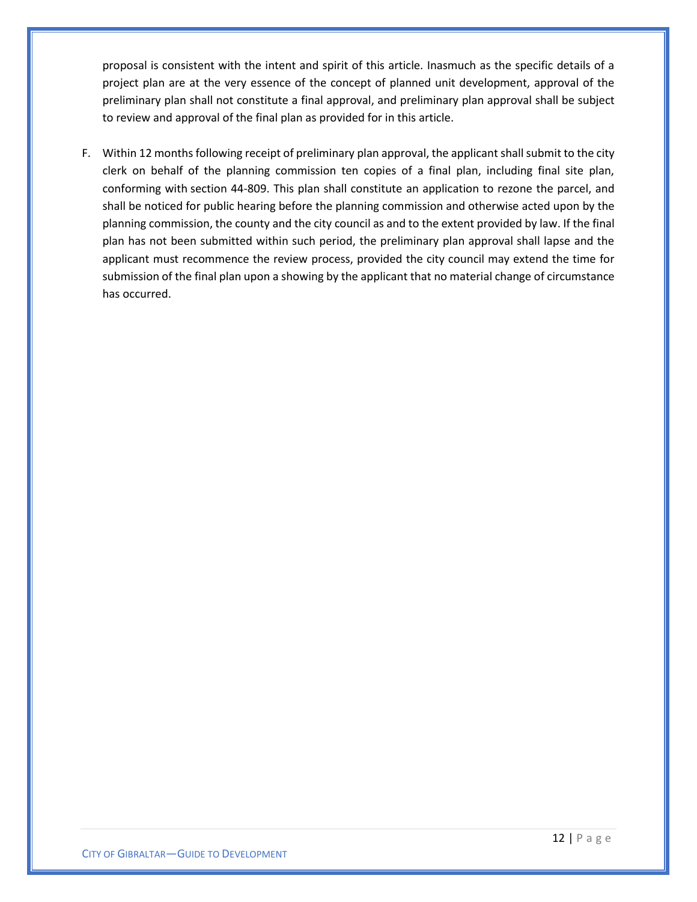proposal is consistent with the intent and spirit of this article. Inasmuch as the specific details of a project plan are at the very essence of the concept of planned unit development, approval of the preliminary plan shall not constitute a final approval, and preliminary plan approval shall be subject to review and approval of the final plan as provided for in this article.

F. Within 12 months following receipt of preliminary plan approval, the applicant shall submit to the city clerk on behalf of the planning commission ten copies of a final plan, including final site plan, conforming with section 44-809. This plan shall constitute an application to rezone the parcel, and shall be noticed for public hearing before the planning commission and otherwise acted upon by the planning commission, the county and the city council as and to the extent provided by law. If the final plan has not been submitted within such period, the preliminary plan approval shall lapse and the applicant must recommence the review process, provided the city council may extend the time for submission of the final plan upon a showing by the applicant that no material change of circumstance has occurred.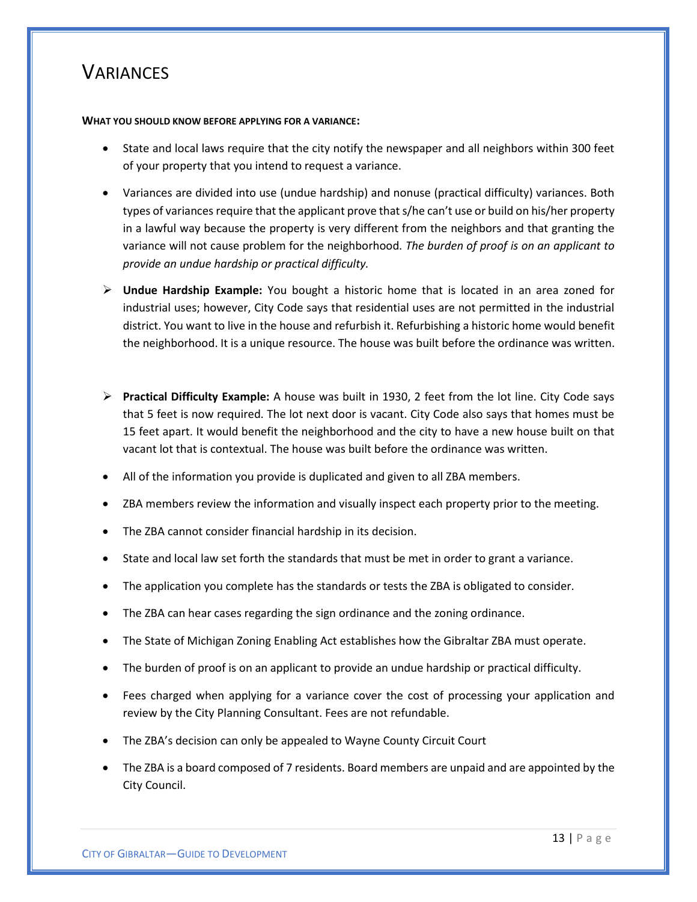### <span id="page-13-0"></span>**VARIANCES**

#### **WHAT YOU SHOULD KNOW BEFORE APPLYING FOR A VARIANCE:**

- State and local laws require that the city notify the newspaper and all neighbors within 300 feet of your property that you intend to request a variance.
- Variances are divided into use (undue hardship) and nonuse (practical difficulty) variances. Both types of variances require that the applicant prove that s/he can't use or build on his/her property in a lawful way because the property is very different from the neighbors and that granting the variance will not cause problem for the neighborhood. *The burden of proof is on an applicant to provide an undue hardship or practical difficulty.*
- ➢ **Undue Hardship Example:** You bought a historic home that is located in an area zoned for industrial uses; however, City Code says that residential uses are not permitted in the industrial district. You want to live in the house and refurbish it. Refurbishing a historic home would benefit the neighborhood. It is a unique resource. The house was built before the ordinance was written.
- ➢ **Practical Difficulty Example:** A house was built in 1930, 2 feet from the lot line. City Code says that 5 feet is now required. The lot next door is vacant. City Code also says that homes must be 15 feet apart. It would benefit the neighborhood and the city to have a new house built on that vacant lot that is contextual. The house was built before the ordinance was written.
- All of the information you provide is duplicated and given to all ZBA members.
- ZBA members review the information and visually inspect each property prior to the meeting.
- The ZBA cannot consider financial hardship in its decision.
- State and local law set forth the standards that must be met in order to grant a variance.
- The application you complete has the standards or tests the ZBA is obligated to consider.
- The ZBA can hear cases regarding the sign ordinance and the zoning ordinance.
- The State of Michigan Zoning Enabling Act establishes how the Gibraltar ZBA must operate.
- The burden of proof is on an applicant to provide an undue hardship or practical difficulty.
- Fees charged when applying for a variance cover the cost of processing your application and review by the City Planning Consultant. Fees are not refundable.
- The ZBA's decision can only be appealed to Wayne County Circuit Court
- The ZBA is a board composed of 7 residents. Board members are unpaid and are appointed by the City Council.